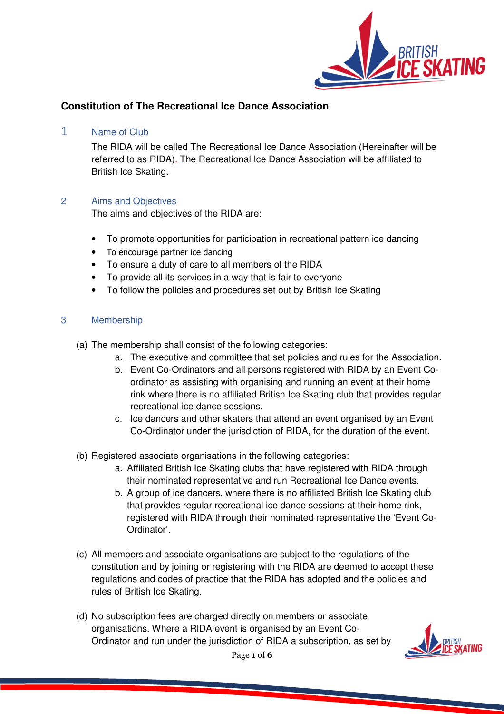

# **Constitution of The Recreational Ice Dance Association**

1 Name of Club

The RIDA will be called The Recreational Ice Dance Association (Hereinafter will be referred to as RIDA). The Recreational Ice Dance Association will be affiliated to British Ice Skating.

## 2 Aims and Objectives

The aims and objectives of the RIDA are:

- To promote opportunities for participation in recreational pattern ice dancing
- To encourage partner ice dancing
- To ensure a duty of care to all members of the RIDA
- To provide all its services in a way that is fair to everyone
- To follow the policies and procedures set out by British Ice Skating

## 3 Membership

- (a) The membership shall consist of the following categories:
	- a. The executive and committee that set policies and rules for the Association.
	- b. Event Co-Ordinators and all persons registered with RIDA by an Event Coordinator as assisting with organising and running an event at their home rink where there is no affiliated British Ice Skating club that provides regular recreational ice dance sessions.
	- c. Ice dancers and other skaters that attend an event organised by an Event Co-Ordinator under the jurisdiction of RIDA, for the duration of the event.
- (b) Registered associate organisations in the following categories:
	- a. Affiliated British Ice Skating clubs that have registered with RIDA through their nominated representative and run Recreational Ice Dance events.
	- b. A group of ice dancers, where there is no affiliated British Ice Skating club that provides regular recreational ice dance sessions at their home rink, registered with RIDA through their nominated representative the 'Event Co-Ordinator'.
- (c) All members and associate organisations are subject to the regulations of the constitution and by joining or registering with the RIDA are deemed to accept these regulations and codes of practice that the RIDA has adopted and the policies and rules of British Ice Skating.
- (d) No subscription fees are charged directly on members or associate organisations. Where a RIDA event is organised by an Event Co-Ordinator and run under the jurisdiction of RIDA a subscription, as set by

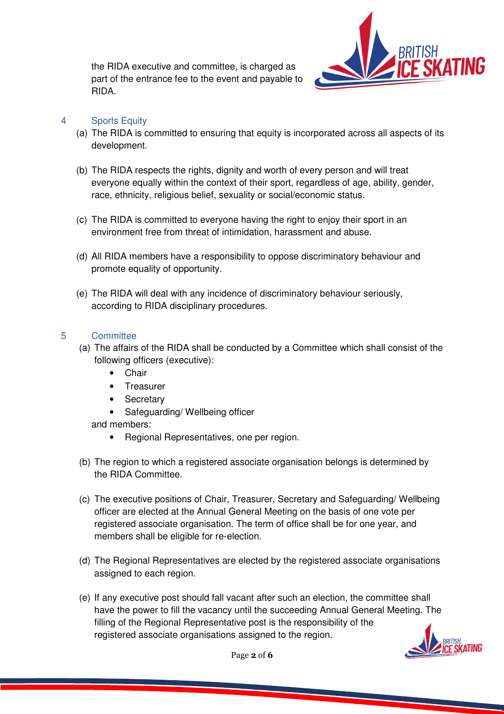the RIDA executive and committee, is charged as part of the entrance fee to the event and payable to RIDA.



## 4 Sports Equity

- (a) The RIDA is committed to ensuring that equity is incorporated across all aspects of its development.
- (b) The RIDA respects the rights, dignity and worth of every person and will treat everyone equally within the context of their sport, regardless of age, ability, gender, race, ethnicity, religious belief, sexuality or social/economic status.
- (c) The RIDA is committed to everyone having the right to enjoy their sport in an environment free from threat of intimidation, harassment and abuse.
- (d) All RIDA members have a responsibility to oppose discriminatory behaviour and promote equality of opportunity.
- (e) The RIDA will deal with any incidence of discriminatory behaviour seriously, according to RIDA disciplinary procedures.

## 5 Committee

- (a) The affairs of the RIDA shall be conducted by a Committee which shall consist of the following officers (executive):
	- Chair
	- Treasurer
	- Secretary
	- Safeguarding/ Wellbeing officer

and members:

- Regional Representatives, one per region.
- (b) The region to which a registered associate organisation belongs is determined by the RIDA Committee.
- (c) The executive positions of Chair, Treasurer, Secretary and Safeguarding/ Wellbeing officer are elected at the Annual General Meeting on the basis of one vote per registered associate organisation. The term of office shall be for one year, and members shall be eligible for re-election.
- (d) The Regional Representatives are elected by the registered associate organisations assigned to each region.
- (e) If any executive post should fall vacant after such an election, the committee shall have the power to fill the vacancy until the succeeding Annual General Meeting. The filling of the Regional Representative post is the responsibility of the registered associate organisations assigned to the region.



Page 2 of 6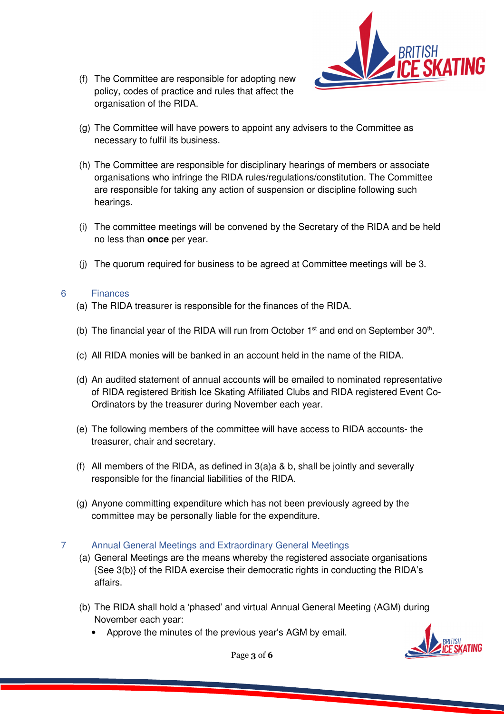(f) The Committee are responsible for adopting new policy, codes of practice and rules that affect the organisation of the RIDA.



- (g) The Committee will have powers to appoint any advisers to the Committee as necessary to fulfil its business.
- (h) The Committee are responsible for disciplinary hearings of members or associate organisations who infringe the RIDA rules/regulations/constitution. The Committee are responsible for taking any action of suspension or discipline following such hearings.
- (i) The committee meetings will be convened by the Secretary of the RIDA and be held no less than **once** per year.
- (j) The quorum required for business to be agreed at Committee meetings will be 3.

## 6 Finances

- (a) The RIDA treasurer is responsible for the finances of the RIDA.
- (b) The financial year of the RIDA will run from October  $1<sup>st</sup>$  and end on September 30<sup>th</sup>.
- (c) All RIDA monies will be banked in an account held in the name of the RIDA.
- (d) An audited statement of annual accounts will be emailed to nominated representative of RIDA registered British Ice Skating Affiliated Clubs and RIDA registered Event Co-Ordinators by the treasurer during November each year.
- (e) The following members of the committee will have access to RIDA accounts- the treasurer, chair and secretary.
- (f) All members of the RIDA, as defined in  $3(a)a & b$ , shall be jointly and severally responsible for the financial liabilities of the RIDA.
- (g) Anyone committing expenditure which has not been previously agreed by the committee may be personally liable for the expenditure.

## 7 Annual General Meetings and Extraordinary General Meetings

- (a) General Meetings are the means whereby the registered associate organisations {See 3(b)} of the RIDA exercise their democratic rights in conducting the RIDA's affairs.
- (b) The RIDA shall hold a 'phased' and virtual Annual General Meeting (AGM) during November each year:
	- Approve the minutes of the previous year's AGM by email.



Page 3 of 6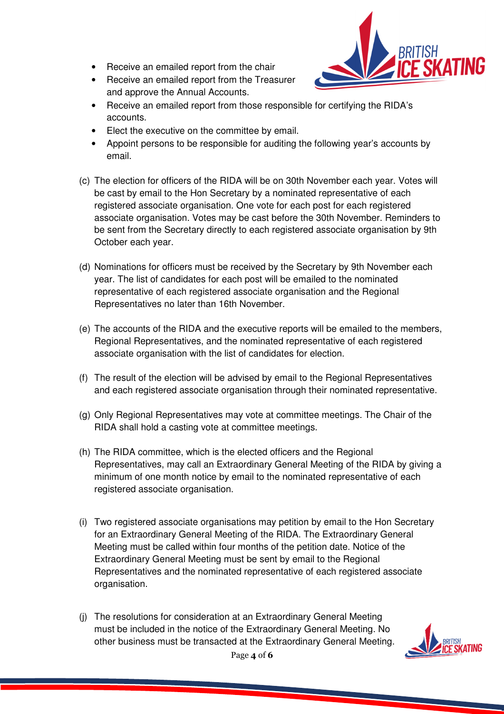- Receive an emailed report from the chair
- Receive an emailed report from the Treasurer and approve the Annual Accounts.



- Receive an emailed report from those responsible for certifying the RIDA's accounts.
- Elect the executive on the committee by email.
- Appoint persons to be responsible for auditing the following year's accounts by email.
- (c) The election for officers of the RIDA will be on 30th November each year. Votes will be cast by email to the Hon Secretary by a nominated representative of each registered associate organisation. One vote for each post for each registered associate organisation. Votes may be cast before the 30th November. Reminders to be sent from the Secretary directly to each registered associate organisation by 9th October each year.
- (d) Nominations for officers must be received by the Secretary by 9th November each year. The list of candidates for each post will be emailed to the nominated representative of each registered associate organisation and the Regional Representatives no later than 16th November.
- (e) The accounts of the RIDA and the executive reports will be emailed to the members, Regional Representatives, and the nominated representative of each registered associate organisation with the list of candidates for election.
- (f) The result of the election will be advised by email to the Regional Representatives and each registered associate organisation through their nominated representative.
- (g) Only Regional Representatives may vote at committee meetings. The Chair of the RIDA shall hold a casting vote at committee meetings.
- (h) The RIDA committee, which is the elected officers and the Regional Representatives, may call an Extraordinary General Meeting of the RIDA by giving a minimum of one month notice by email to the nominated representative of each registered associate organisation.
- (i) Two registered associate organisations may petition by email to the Hon Secretary for an Extraordinary General Meeting of the RIDA. The Extraordinary General Meeting must be called within four months of the petition date. Notice of the Extraordinary General Meeting must be sent by email to the Regional Representatives and the nominated representative of each registered associate organisation.
- (j) The resolutions for consideration at an Extraordinary General Meeting must be included in the notice of the Extraordinary General Meeting. No other business must be transacted at the Extraordinary General Meeting.

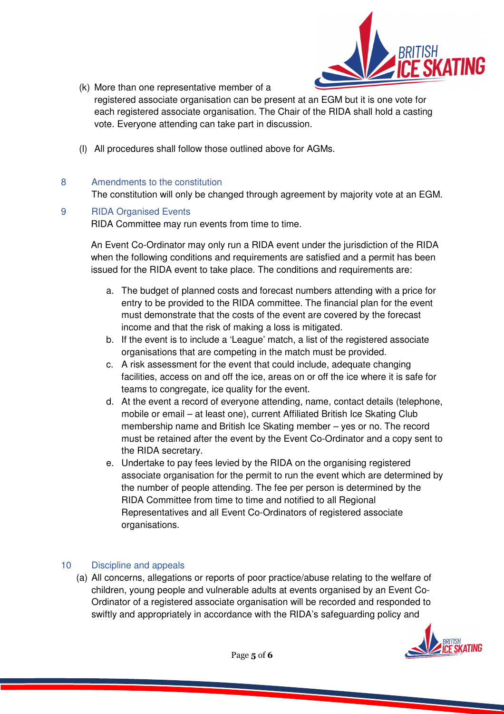

- (k) More than one representative member of a registered associate organisation can be present at an EGM but it is one vote for each registered associate organisation. The Chair of the RIDA shall hold a casting vote. Everyone attending can take part in discussion.
- (l) All procedures shall follow those outlined above for AGMs.

## 8 Amendments to the constitution

The constitution will only be changed through agreement by majority vote at an EGM.

### 9 RIDA Organised Events

RIDA Committee may run events from time to time.

An Event Co-Ordinator may only run a RIDA event under the jurisdiction of the RIDA when the following conditions and requirements are satisfied and a permit has been issued for the RIDA event to take place. The conditions and requirements are:

- a. The budget of planned costs and forecast numbers attending with a price for entry to be provided to the RIDA committee. The financial plan for the event must demonstrate that the costs of the event are covered by the forecast income and that the risk of making a loss is mitigated.
- b. If the event is to include a 'League' match, a list of the registered associate organisations that are competing in the match must be provided.
- c. A risk assessment for the event that could include, adequate changing facilities, access on and off the ice, areas on or off the ice where it is safe for teams to congregate, ice quality for the event.
- d. At the event a record of everyone attending, name, contact details (telephone, mobile or email – at least one), current Affiliated British Ice Skating Club membership name and British Ice Skating member – yes or no. The record must be retained after the event by the Event Co-Ordinator and a copy sent to the RIDA secretary.
- e. Undertake to pay fees levied by the RIDA on the organising registered associate organisation for the permit to run the event which are determined by the number of people attending. The fee per person is determined by the RIDA Committee from time to time and notified to all Regional Representatives and all Event Co-Ordinators of registered associate organisations.

### 10 Discipline and appeals

(a) All concerns, allegations or reports of poor practice/abuse relating to the welfare of children, young people and vulnerable adults at events organised by an Event Co-Ordinator of a registered associate organisation will be recorded and responded to swiftly and appropriately in accordance with the RIDA's safeguarding policy and